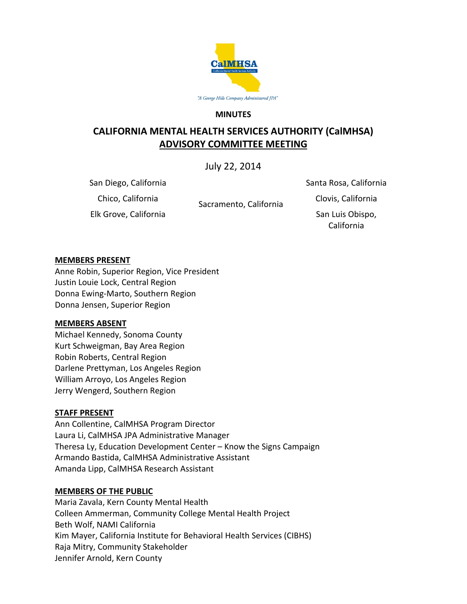

#### **MINUTES**

# **CALIFORNIA MENTAL HEALTH SERVICES AUTHORITY (CalMHSA) ADVISORY COMMITTEE MEETING**

July 22, 2014

San Diego, California

Sacramento, California

Santa Rosa, California Chico, California Clovis, California

Elk Grove, California San Luis Obispo, San Luis Obispo, California

#### **MEMBERS PRESENT**

Anne Robin, Superior Region, Vice President Justin Louie Lock, Central Region Donna Ewing-Marto, Southern Region Donna Jensen, Superior Region

#### **MEMBERS ABSENT**

Michael Kennedy, Sonoma County Kurt Schweigman, Bay Area Region Robin Roberts, Central Region Darlene Prettyman, Los Angeles Region William Arroyo, Los Angeles Region Jerry Wengerd, Southern Region

#### **STAFF PRESENT**

Ann Collentine, CalMHSA Program Director Laura Li, CalMHSA JPA Administrative Manager Theresa Ly, Education Development Center – Know the Signs Campaign Armando Bastida, CalMHSA Administrative Assistant Amanda Lipp, CalMHSA Research Assistant

#### **MEMBERS OF THE PUBLIC**

Maria Zavala, Kern County Mental Health Colleen Ammerman, Community College Mental Health Project Beth Wolf, NAMI California Kim Mayer, California Institute for Behavioral Health Services (CIBHS) Raja Mitry, Community Stakeholder Jennifer Arnold, Kern County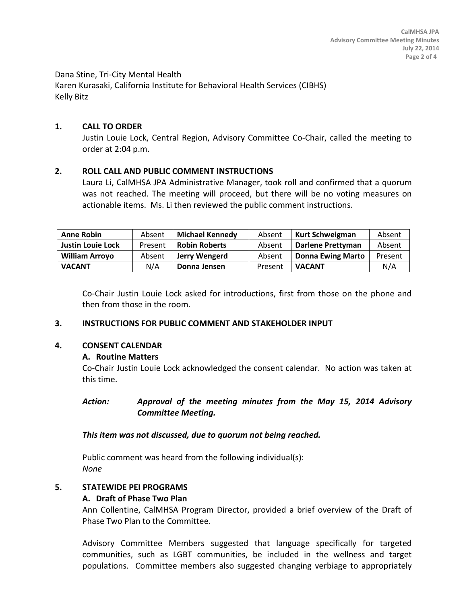Dana Stine, Tri-City Mental Health Karen Kurasaki, California Institute for Behavioral Health Services (CIBHS) Kelly Bitz

### **1. CALL TO ORDER**

Justin Louie Lock, Central Region, Advisory Committee Co-Chair, called the meeting to order at 2:04 p.m.

### **2. ROLL CALL AND PUBLIC COMMENT INSTRUCTIONS**

Laura Li, CalMHSA JPA Administrative Manager, took roll and confirmed that a quorum was not reached. The meeting will proceed, but there will be no voting measures on actionable items. Ms. Li then reviewed the public comment instructions.

| <b>Anne Robin</b>        | Absent  | <b>Michael Kennedy</b> | Absent  | <b>Kurt Schweigman</b>   | Absent  |
|--------------------------|---------|------------------------|---------|--------------------------|---------|
| <b>Justin Louie Lock</b> | Present | <b>Robin Roberts</b>   | Absent  | <b>Darlene Prettyman</b> | Absent  |
| <b>William Arroyo</b>    | Absent  | Jerry Wengerd          | Absent  | <b>Donna Ewing Marto</b> | Present |
| <b>VACANT</b>            | N/A     | Donna Jensen           | Present | <b>VACANT</b>            | N/A     |

Co-Chair Justin Louie Lock asked for introductions, first from those on the phone and then from those in the room.

### **3. INSTRUCTIONS FOR PUBLIC COMMENT AND STAKEHOLDER INPUT**

### **4. CONSENT CALENDAR**

### **A. Routine Matters**

Co-Chair Justin Louie Lock acknowledged the consent calendar. No action was taken at this time.

### *Action: Approval of the meeting minutes from the May 15, 2014 Advisory Committee Meeting.*

### *This item was not discussed, due to quorum not being reached.*

Public comment was heard from the following individual(s): *None*

### **5. STATEWIDE PEI PROGRAMS**

### **A. Draft of Phase Two Plan**

Ann Collentine, CalMHSA Program Director, provided a brief overview of the Draft of Phase Two Plan to the Committee.

Advisory Committee Members suggested that language specifically for targeted communities, such as LGBT communities, be included in the wellness and target populations. Committee members also suggested changing verbiage to appropriately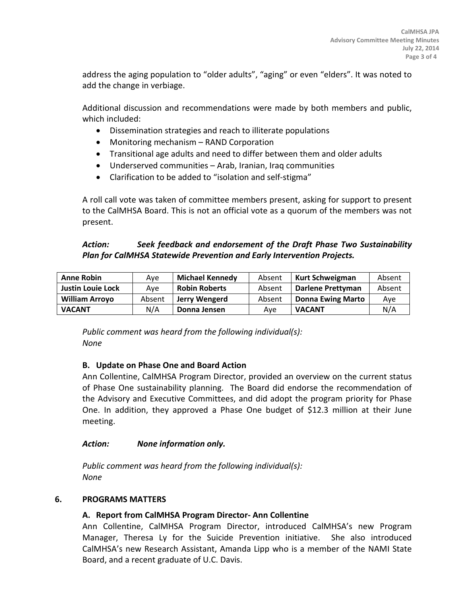address the aging population to "older adults", "aging" or even "elders". It was noted to add the change in verbiage.

Additional discussion and recommendations were made by both members and public, which included:

- Dissemination strategies and reach to illiterate populations
- Monitoring mechanism RAND Corporation
- Transitional age adults and need to differ between them and older adults
- Underserved communities Arab, Iranian, Iraq communities
- Clarification to be added to "isolation and self-stigma"

A roll call vote was taken of committee members present, asking for support to present to the CalMHSA Board. This is not an official vote as a quorum of the members was not present.

## *Action: Seek feedback and endorsement of the Draft Phase Two Sustainability Plan for CalMHSA Statewide Prevention and Early Intervention Projects.*

| <b>Anne Robin</b>        | Ave    | <b>Michael Kennedy</b> | Absent | <b>Kurt Schweigman</b>   | Absent |
|--------------------------|--------|------------------------|--------|--------------------------|--------|
| <b>Justin Louie Lock</b> | Ave    | <b>Robin Roberts</b>   | Absent | Darlene Prettyman        | Absent |
| <b>William Arroyo</b>    | Absent | Jerry Wengerd          | Absent | <b>Donna Ewing Marto</b> | Ave    |
| <b>VACANT</b>            | N/A    | Donna Jensen           | Ave    | <b>VACANT</b>            | N/A    |

*Public comment was heard from the following individual(s): None*

# **B. Update on Phase One and Board Action**

Ann Collentine, CalMHSA Program Director, provided an overview on the current status of Phase One sustainability planning. The Board did endorse the recommendation of the Advisory and Executive Committees, and did adopt the program priority for Phase One. In addition, they approved a Phase One budget of \$12.3 million at their June meeting.

### *Action: None information only.*

*Public comment was heard from the following individual(s): None*

### **6. PROGRAMS MATTERS**

### **A. Report from CalMHSA Program Director- Ann Collentine**

Ann Collentine, CalMHSA Program Director, introduced CalMHSA's new Program Manager, Theresa Ly for the Suicide Prevention initiative. She also introduced CalMHSA's new Research Assistant, Amanda Lipp who is a member of the NAMI State Board, and a recent graduate of U.C. Davis.